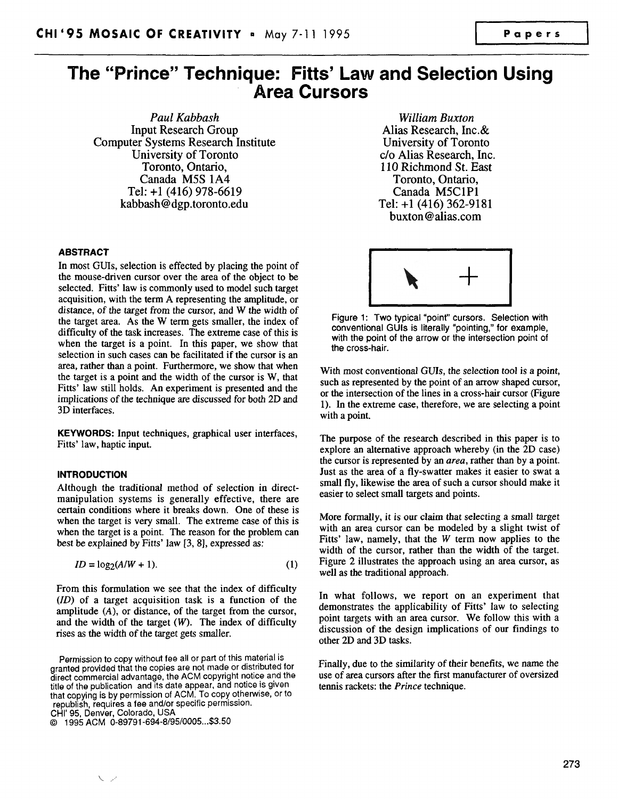# **The "Prince" Technique: Fitts' Law and Selection Using Area Cursors**

*Paul Kabbash*  **Input Research Group Computer Systems Research Institute University of Toronto Toronto, Ontario, Canada M5S 1A4 Tel: +1 (416) 978-6619 [kabbash@dgp.toronto.edu](mailto:kabbash@dgp.toronto.edu)** 

# **ABSTRACT**

In most GUIs, selection is effected by placing the point of the mouse-driven cursor over the area of the object to be selected. Fitts' law is commonly used to model such target acquisition, with the term A representing the amplitude, or distance, of the *target* from the cursor, and W the width of the target area. As the W term gets smaller, the index of difficulty of the task increases. The extreme case of this is when the target is a point. In this paper, we show that selection in such cases can be facilitated if the cursor is an area, rather than a point. Furthermore, we show that when the target is a point and the width of the cursor is W, that Fitts' law still holds. An experiment is presented and the implications of the technique are discussed for both 2D and 3D interfaces.

**KEYWORDS:** Input techniques, graphical user interfaces, Fitts' law, haptic input.

#### **INTRODUCTION**

Although the traditional method of selection in directmanipulation systems is generally effective, there are certain conditions where it breaks down. One of these is when the target is very small. The extreme case of this is when the target is a point. The reason for the problem can best be explained by Fitts' law [3, 8], expressed as:

$$
ID = \log_2(A/W + 1). \tag{1}
$$

From this formulation we see that the index of difficulty *(ID)* of a target acquisition task is a function of the amplitude (A), or distance, of the target from the cursor, and the width of the target  $(W)$ . The index of difficulty rises as the width of the target gets smaller.

*William Buxton*  **Alias Research, Inc.& University of Toronto c/o Alias Research, Inc. 110 Richmond St. East Toronto, Ontario, Canada M5C1P1 Tel: +1 (416) 362-9181 [buxton@alias.com](mailto:buxton@alias.com)** 



**Figure 1: Two typical "point" cursors. Selection with conventional GUIs is literally "pointing," for example, with the point of the arrow or the intersection point of the cross-hair.** 

With most conventional GUIs, the selection tool is a point, such as represented by the point of an arrow shaped cursor, or the intersection of the lines in a cross-hair cursor (Figure 1). In the extreme case, therefore, we are selecting a point with a point.

The purpose of the research described in this paper is to explore an alternative approach whereby (in the 2D case) the cursor is represented by an *area,* rather than by a point. Just as the area of a fly-swatter makes it easier to swat a small fly, likewise the area of such a cursor should make it easier to select small targets and points.

More formally, it is our claim that selecting a small target with an area cursor can be modeled by a slight twist of Fitts' law, namely, that the *W* term now applies to the width of the cursor, rather than the width of the target. Figure 2 illustrates the approach using an area cursor, as well as the traditional approach.

In what follows, we report on an experiment that demonstrates the applicability of Fitts' law to selecting point targets with an area cursor. We follow this with a discussion of the design implications of our findings to other 2D and 3D tasks.

Finally, due to the similarity of their benefits, we name the use of area cursors after the first manufacturer of oversized tennis rackets: the *Prince* technique.

Permission to copy without fee all or part of this material is **granted provided that the copies are not made or distributed for direct commercial advantage, the ACM copyright notice and the title of the publication and its date appear, and notice is given that copying is by permission of ACM. To copy otherwise, or to republish, requires a fee and/or specific permission. CHI' 95, Denver, Colorado, USA** 

**<sup>© 1995</sup> ACM 0-89791-694-8/95/0005...\$3.50**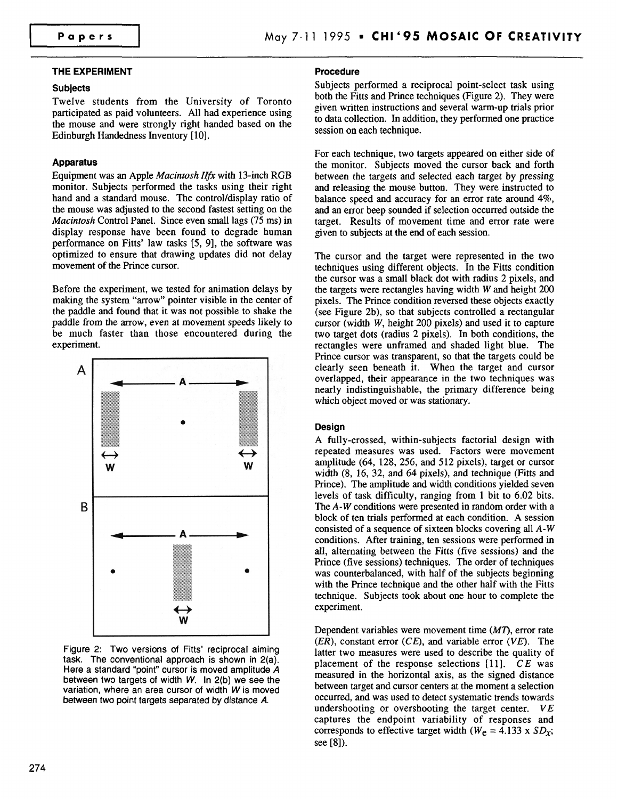# **THE EXPERIMENT**

# **Subjects**

Twelve students from the University of Toronto participated as paid volunteers. All had experience using the mouse and were strongly right handed based on the Edinburgh Handedness Inventory [10].

#### **Apparatus**

Equipment was an Apple *Macintosh llfx* with 13-inch RGB monitor. Subjects performed the tasks using their right hand and a standard mouse. The control/display ratio of the mouse was adjusted to the second fastest setting on the *Macintosh* Control Panel. Since even small lags (75 ms) in display response have been found to degrade human performance on Fitts' law tasks [5, 9], the software was optimized to ensure that drawing updates did not delay movement of the Prince cursor.

Before the experiment, we tested for animation delays by making the system "arrow" pointer visible in the center of the paddle and found that it was not possible to shake the paddle from the arrow, even at movement speeds likely to be much faster than those encountered during the experiment.



**Figure 2: Two versions of Fitts' reciprocal aiming task. The conventional approach is shown in 2(a). Here a standard "point" cursor is moved amplitude** *A*  **between two targets of width W. In 2(b) we see the variation, where an area cursor of width W is moved between two point targets separated by distance** *A.* 

#### **Procedure**

Subjects performed a reciprocal point-select task using both the Fitts and Prince techniques (Figure 2). They were given written instructions and several warm-up trials prior to data collection. In addition, they performed one practice session on each technique.

For each technique, two targets appeared on either side of the monitor. Subjects moved the cursor back and forth between the targets and selected each target by pressing and releasing the mouse button. They were instructed to balance speed and accuracy for an error rate around 4%, and an error beep sounded if selection occurred outside the target. Results of movement time and error rate were given to subjects at the end of each session.

The cursor and the target were represented in the two techniques using different objects. In the Fitts condition the cursor was a small black dot with radius 2 pixels, and the targets were rectangles having width W and height 200 pixels. The Prince condition reversed these objects exactly (see Figure 2b), so that subjects controlled a rectangular cursor (width W, height 200 pixels) and used it to capture two target dots (radius 2 pixels). In both conditions, the rectangles were unframed and shaded light blue. The Prince cursor was transparent, so that the targets could be clearly seen beneath it. When the target and cursor overlapped, their appearance in the two techniques was nearly indistinguishable, the primary difference being which object moved or was stationary.

#### **Design**

A fully-crossed, within-subjects factorial design with repeated measures was used. Factors were movement amplitude (64, 128, 256, and 512 pixels), target or cursor width (8, 16, 32, and 64 pixels), and technique (Fitts and Prince). The amplitude and width conditions yielded seven levels of task difficulty, ranging from I bit to 6.02 bits. The *A-W* conditions were presented in random order with a block of ten trials performed at each condition. A session consisted of a sequence of sixteen blocks covering all *A-W*  conditions. After training, ten sessions were performed in all, alternating between the Fitts (five sessions) and the Prince (five sessions) techniques. The order of techniques was counterbalanced, with half of the subjects beginning with the Prince technique and the other half with the Fitts technique. Subjects took about one hour to complete the experiment.

Dependent variables were movement time (M7), error rate  $(ER)$ , constant error  $(CE)$ , and variable error  $(VE)$ . The latter two measures were used to describe the quality of placement of the response selections  $[11]$ ,  $CE$  was measured in the horizontal axis, as the signed distance between target and cursor centers at the moment a selection occurred, and was used to detect systematic trends towards undershooting or overshooting the target center. *VE*  captures the endpoint variability of responses and corresponds to effective target width ( $W_e = 4.133 \times SD_x$ ; see [8]).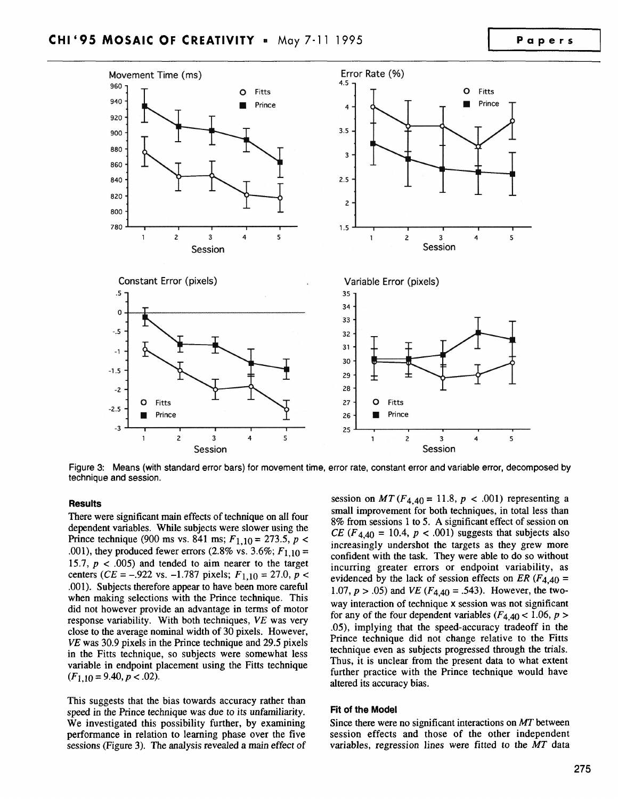

**Figure 3: Means (with standard error bars) for movement time, error rate, constant error and variable error, decomposed by technique and session.** 

#### **Results**

There were significant main effects of technique on all four dependent variables. While subjects were slower using the Prince technique (900 ms vs. 841 ms;  $F_{1,10} = 273.5$ ,  $p <$ .001), they produced fewer errors (2.8% vs. 3.6%;  $F_{1,10} =$ 15.7, *p <* .005) and tended to aim nearer to the target centers ( $CE = -.922$  vs.  $-1.787$  pixels;  $F_{1,10} = 27.0$ ,  $p <$ .001). Subjects therefore appear to have been more careful when making selections with the Prince technique. This did not however provide an advantage in terms of motor response variability. With both techniques, *VE* was very close to the average nominal width of 30 pixels. However, *VE* was 30.9 pixels in the Prince technique and 29.5 pixels in the Fitts technique, so subjects were somewhat less variable in endpoint placement using the Fitts technique  $(F_{1,10} = 9.40, p < .02).$ 

This suggests that the bias towards accuracy rather than speed in the Prince technique was due to its unfamiliarity. We investigated this possibility further, by examining performance in relation to learning phase over the five sessions (Figure 3). The analysis revealed a main effect of

session on  $MT(F_{4,40} = 11.8, p < .001)$  representing a small improvement for both techniques, in total less than 8% from sessions 1 to 5. A significant effect of session on *CE* ( $F_{4,40}$  = 10.4,  $p < .001$ ) suggests that subjects also increasingly undershot the targets as they grew more confident with the task. They were able to do so without incurring greater errors or endpoint variability, as evidenced by the lack of session effects on *ER*  $(F<sub>4,40</sub> =$ 1.07,  $p > .05$ ) and *VE* ( $F_{4,40} = .543$ ). However, the twoway interaction of technique x session was not significant for any of the four dependent variables ( $F_{4,40}$  < 1.06, *p* > .05), implying that the speed-accuracy tradeoff in the Prince technique did not change relative to the Fitts technique even as subjects progressed through the trials. Thus, it is unclear from the present data to what extent further practice with the Prince technique would have altered its accuracy bias.

# **Fit of the Model**

Since there were no significant interactions on *MT* between session effects and those of the other independent variables, regression lines were fitted to the *MT* data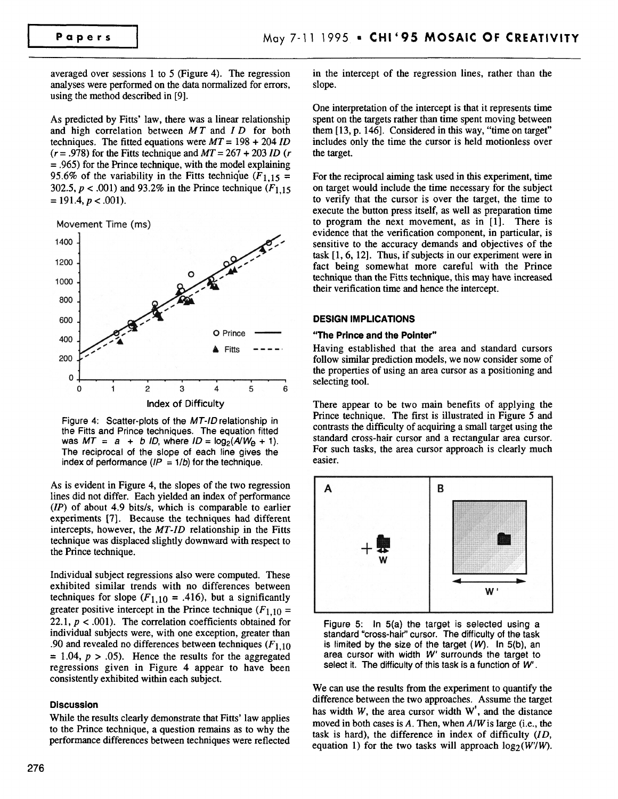averaged over sessions 1 to 5 (Figure 4). The regression analyses were performed on the data normalized for errors, using the method described in [9].

As predicted by Fitts' law, there was a linear relationship and high correlation between MT and ID for both techniques. The fitted equations were *MT* = 198 + 204 *ID*   $(r = .978)$  for the Fitts technique and  $MT = 267 + 203$  *ID* (*r*) = .965) for the Prince technique, with the model explaining 95.6% of the variability in the Fitts technique  $(F_{1,15} =$ 302.5,  $p < .001$ ) and 93.2% in the Prince technique ( $F_{1,15}$ )  $= 191.4, p < .001$ ).



Figure 4: Scatter-plots of the *MT-ID* relationship in the Fitts and Prince techniques. The equation fitted was  $MT = a + b$  *ID*, where  $ID = log_2(A/W_e + 1)$ . The reciprocal of the slope of each line gives the index of performance  $(IP = 1/b)$  for the technique.

As is evident in Figure 4, the slopes of the two regression lines did not differ. Each yielded an index of performance *{IP)* of about 4.9 bits/s, which is comparable to earlier experiments [7]. Because the techniques had different intercepts, however, the *MT-ID* relationship in the Fitts technique was displaced slightly downward with respect to the Prince technique.

Individual subject regressions also were computed. These exhibited similar trends with no differences between techniques for slope ( $F_{1,10} = .416$ ), but a significantly greater positive intercept in the Prince technique ( $F_{1,10} =$ 22.1, *p <* .001). The correlation coefficients obtained for individual subjects were, with one exception, greater than .90 and revealed no differences between techniques  $(F_{1,10})$  $= 1.04, p > .05$ . Hence the results for the aggregated regressions given in Figure 4 appear to have been consistently exhibited within each subject.

# **Discussion**

While the results clearly demonstrate that Fitts' law applies to the Prince technique, a question remains as to why the performance differences between techniques were reflected in the intercept of the regression lines, rather than the slope.

One interpretation of the intercept is that it represents time spent on the targets rather than time spent moving between them [13, p. 146]. Considered in this way, "time on target" includes only the time the cursor is held motionless over the target.

For the reciprocal aiming task used in this experiment, time on target would include the time necessary for the subject to verify that the cursor is over the target, the time to execute the button press itself, as well as preparation time to program the next movement, as in [1]. There is evidence that the verification component, in particular, is sensitive to the accuracy demands and objectives of the task [1, 6, 12]. Thus, if subjects in our experiment were in fact being somewhat more careful with the Prince technique than the Fitts technique, this may have increased their verification time and hence the intercept.

### **DESIGN IMPLICATIONS**

#### **"The Prince and the Pointer"**

Having established that the area and standard cursors follow similar prediction models, we now consider some of the properties of using an area cursor as a positioning and selecting tool.

There appear to be two main benefits of applying the Prince technique. The first is illustrated in Figure 5 and contrasts the difficulty of acquiring a small target using the standard cross-hair cursor and a rectangular area cursor. For such tasks, the area cursor approach is clearly much easier.



Figure 5: In 5(a) the target is selected using a standard "cross-hair" cursor. The difficulty of the task is limited by the size of the target  $(W)$ . In 5(b), an area cursor with width  $W'$  surrounds the target to select it. The difficulty of this task is a function of W'.

We can use the results from the experiment to quantify the difference between the two approaches. Assume the target has width  $W$ , the area cursor width  $W'$ , and the distance moved in both cases is *A.* Then, when A/Wis large (i.e., the task is hard), the difference in index of difficulty *{ID,*  equation 1) for the two tasks will approach  $\log_2(W/W)$ .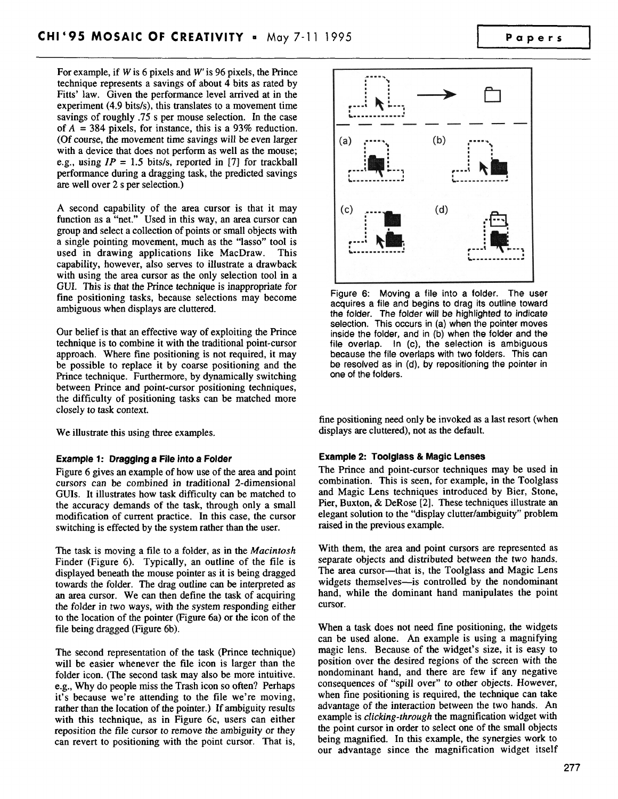For example, if  $W$  is 6 pixels and  $W'$  is 96 pixels, the Prince technique represents a savings of about 4 bits as rated by Fitts' law. Given the performance level arrived at in the experiment (4.9 bits/s), this translates to a movement time savings of roughly .75 s per mouse selection. In the case of  $A = 384$  pixels, for instance, this is a 93% reduction. (Of course, the movement time savings will be even larger with a device that does not perform as well as the mouse; e.g., using *IP =* 1.5 bits/s, reported in [7] for trackball performance during a dragging task, the predicted savings are well over 2 s per selection.)

A second capability of the area cursor is that it may function as a "net." Used in this way, an area cursor can group and select a collection of points or small objects with a single pointing movement, much as the "lasso" tool is used in drawing applications like MacDraw. This capability, however, also serves to illustrate a drawback with using the area cursor as the only selection tool in a GUI. This is that the Prince technique is inappropriate for fine positioning tasks, because selections may become ambiguous when displays are cluttered.

Our belief is that an effective way of exploiting the Prince technique is to combine it with the traditional point-cursor approach. Where fine positioning is not required, it may be possible to replace it by coarse positioning and the Prince technique. Furthermore, by dynamically switching between Prince and point-cursor positioning techniques, the difficulty of positioning tasks can be matched more closely to task context.

We illustrate this using three examples.

# **Example 1: Dragging a File into a Folder**

Figure 6 gives an example of how use of the area and point cursors can be combined in traditional 2-dimensional GUIs. It illustrates how task difficulty can be matched to the accuracy demands of the task, through only a small modification of current practice. In this case, the cursor switching is effected by the system rather than the user.

The task is moving a file to a folder, as in the *Macintosh*  Finder (Figure 6). Typically, an outline of the file is displayed beneath the mouse pointer as it is being dragged towards the folder. The drag outline can be interpreted as an area cursor. We can then define the task of acquiring the folder in two ways, with the system responding either to the location of the pointer (Figure 6a) or the icon of the file being dragged (Figure 6b).

The second representation of the task (Prince technique) will be easier whenever the file icon is larger than the folder icon. (The second task may also be more intuitive, e.g.. Why do people miss the Trash icon so often? Perhaps it's because we're attending to the file we're moving, rather than the location of the pointer.) If ambiguity results with this technique, as in Figure 6c, users can either reposition the file cursor to remove the ambiguity or they can revert to positioning with the point cursor. That is.

fine positioning need only be invoked as a last resort (when

Figure 6: Moving a file into a folder. The user acquires a file and begins to drag its outline toward the folder. The folder will be highlighted to indicate selection. This occurs in (a) when the pointer moves inside the folder, and in (b) when the folder and the file overlap. In (c), the selection is ambiguous because the file overlaps with two folders. This can be resolved as in (d), by repositioning the pointer in

# **Example 2: Toolglass & Magic Lenses**

displays are cluttered), not as the default.

one of the folders.

The Prince and point-cursor techniques may be used in combination. This is seen, for example, in the Toolglass and Magic Lens techniques introduced by Bier, Stone, Pier, Buxton, & DeRose [2], These techniques illustrate an elegant solution to the "display clutter/ambiguity" problem raised in the previous example.

With them, the area and point cursors are represented as separate objects and distributed between the two hands. The area cursor—that is, the Toolglass and Magic Lens widgets themselves—is controlled by the nondominant hand, while the dominant hand manipulates the point cursor.

When a task does not need fine positioning, the widgets can be used alone. An example is using a magnifying magic lens. Because of the widget's size, it is easy to position over the desired regions of the screen with the nondominant hand, and there are few if any negative consequences of "spill over" to other objects. However, when fine positioning is required, the technique can take advantage of the interaction between the two hands. An example is *clicking-througk* the magnification widget with the point cursor in order to select one of the small objects being magnified. In this example, the synergies work to our advantage since the magnification widget itself

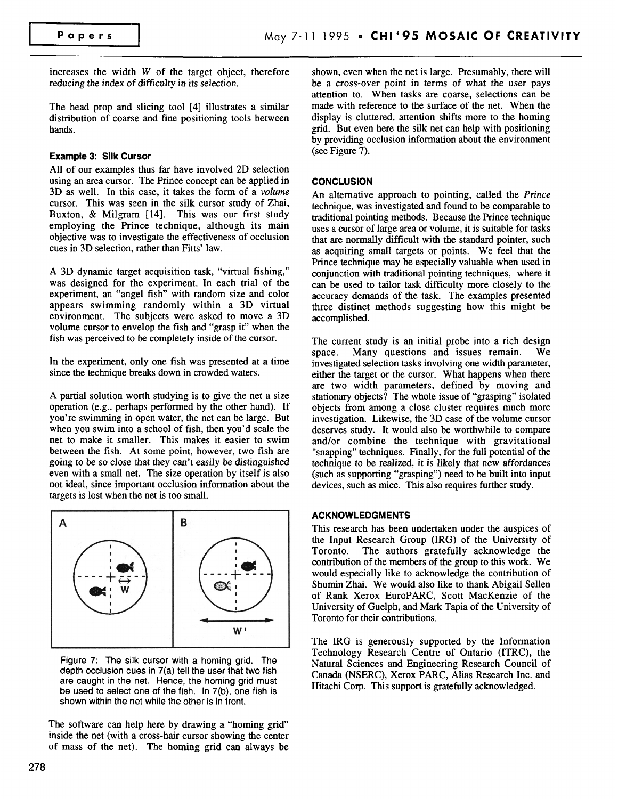increases the width  $W$  of the target object, therefore reducing the index of difficulty in its selection.

The head prop and slicing tool [4] illustrates a similar distribution of coarse and fine positioning tools between hands.

### **Example 3: Silk Cursor**

All of our examples thus far have involved 2D selection using an area cursor. The Prince concept can be applied in 3D as well. In this case, it takes the form of a *volume*  cursor. This was seen in the silk cursor study of Zhai, Buxton, & Milgram [14]. This was our first study employing the Prince technique, although its main objective was to investigate the effectiveness of occlusion cues in 3D selection, rather than Fitts' law.

A 3D dynamic target acquisition task, "virtual fishing," was designed for the experiment. In each trial of the experiment, an "angel fish" with random size and color appears swimming randomly within a 3D virtual environment. The subjects were asked to move a 3D volume cursor to envelop the fish and "grasp it" when the fish was perceived to be completely inside of the cursor.

In the experiment, only one fish was presented at a time since the technique breaks down in crowded waters.

A partial solution worth studying is to give the net a size operation (e.g., perhaps performed by the other hand). If you're swimming in open water, the net can be large. But when you swim into a school of fish, then you'd scale the net to make it smaller. This makes it easier to swim between the fish. At some point, however, two fish are going to be so close that they can't easily be distinguished even with a small net. The size operation by itself is also not ideal, since important occlusion information about the targets is lost when the net is too small.



Figure 7: The silk cursor with a homing grid. The depth occlusion cues in 7(a) tell the user that two fish are caught in the net. Hence, the homing grid must be used to select one of the fish. In 7(b), one fish is shown within the net while the other is in front.

The software can help here by drawing a "homing grid" inside the net (with a cross-hair cursor showing the center of mass of the net). The homing grid can always be shown, even when the net is large. Presumably, there will be a cross-over point in terms of what the user pays attention to. When tasks are coarse, selections can be made with reference to the surface of the net. When the display is cluttered, attention shifts more to the homing grid. But even here the silk net can help with positioning by providing occlusion information about the environment (see Figure 7).

# **CONCLUSION**

An alternative approach to pointing, called the *Prince*  technique, was investigated and found to be comparable to traditional pointing methods. Because the Prince technique uses a cursor of large area or volume, it is suitable for tasks that are normally difficult with the standard pointer, such as acquiring small targets or points. We feel that the Prince technique may be especially valuable when used in conjunction with traditional pointing techniques, where it can be used to tailor task difficulty more closely to the accuracy demands of the task. The examples presented three distinct methods suggesting how this might be accomplished.

The current study is an initial probe into a rich design space. Many questions and issues remain. investigated selection tasks involving one width parameter, either the target or the cursor. What happens when there are two width parameters, defined by moving and stationary objects? The whole issue of "grasping" isolated objects from among a close cluster requires much more investigation. Likewise, the 3D case of the volume cursor deserves study. It would also be worthwhile to compare and/or combine the technique with gravitational "snapping" techniques. Finally, for the full potential of the technique to be realized, it is likely that new affordances (such as supporting "grasping") need to be built into input devices, such as mice. This also requires further study.

# **ACKNOWLEDGMENTS**

This research has been undertaken under the auspices of the Input Research Group (IRG) of the University of Toronto. The authors gratefully acknowledge the contribution of the members of the group to this work. We would especially like to acknowledge the contribution of Shumin Zhai. We would also like to thank Abigail Sellen of Rank Xerox EuroPARC, Scott MacKenzie of the University of Guelph, and Mark Tapia of the University of Toronto for their contributions.

The IRG is generously supported by the Information Technology Research Centre of Ontario (ITRC), the Natural Sciences and Engineering Research Council of Canada (NSERC), Xerox PARC, Alias Research Inc. and Hitachi Corp. This support is gratefully acknowledged.